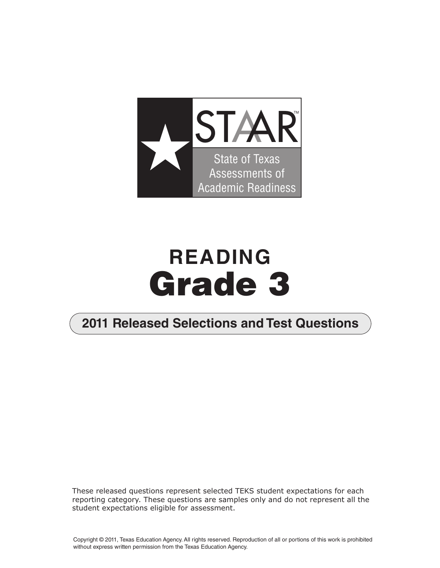

# **READING Grade 3**

### **2011 Released Selections and Test Questions**

These released questions represent selected TEKS student expectations for each reporting category. These questions are samples only and do not represent all the student expectations eligible for assessment.

Copyright © 2011, Texas Education Agency. All rights reserved. Reproduction of all or portions of this work is prohibited without express written permission from the Texas Education Agency.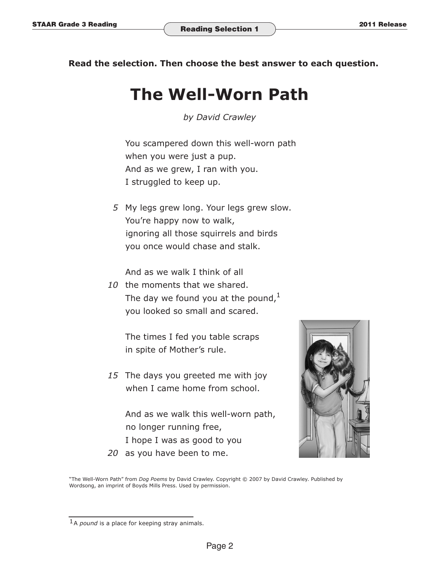**Read the selection. Then choose the best answer to each question.** 

## **The Well-Worn Path**

*by David Crawley*

 You scampered down this well-worn path when you were just a pup. And as we grew, I ran with you. I struggled to keep up.

> *5* My legs grew long. Your legs grew slow. You're happy now to walk, ignoring all those squirrels and birds you once would chase and stalk.

And as we walk I think of all

*10* the moments that we shared. The day we found you at the pound, $<sup>1</sup>$ </sup> you looked so small and scared.

> The times I fed you table scraps in spite of Mother's rule.

*15* The days you greeted me with joy when I came home from school.

 And as we walk this well-worn path, no longer running free, I hope I was as good to you

*20* as you have been to me.



"The Well-Worn Path" from *Dog Poems* by David Crawley. Copyright © 2007 by David Crawley. Published by Wordsong, an imprint of Boyds Mills Press. Used by permission.

<sup>1</sup>A *pound* is a place for keeping stray animals.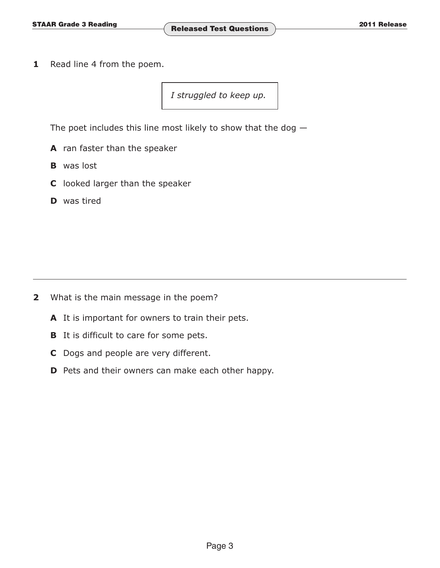**1** Read line 4 from the poem.

*I struggled to keep up.* 

The poet includes this line most likely to show that the dog  $-$ 

- **A** ran faster than the speaker
- **B** was lost
- **C** looked larger than the speaker
- **D** was tired

- **2** What is the main message in the poem?
	- **A** It is important for owners to train their pets.
	- **B** It is difficult to care for some pets.
	- **C** Dogs and people are very different.
	- **D** Pets and their owners can make each other happy.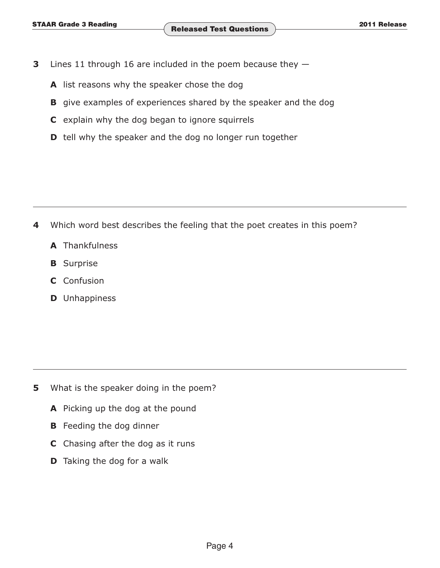- **3** Lines 11 through 16 are included in the poem because they  $-$ 
	- **A** list reasons why the speaker chose the dog
	- **B** give examples of experiences shared by the speaker and the dog
	- **C** explain why the dog began to ignore squirrels
	- **D** tell why the speaker and the dog no longer run together

- **4** Which word best describes the feeling that the poet creates in this poem?
	- **A** Thankfulness
	- **B** Surprise
	- **C** Confusion
	- **D** Unhappiness

- **5** What is the speaker doing in the poem?
	- **A** Picking up the dog at the pound
	- **B** Feeding the dog dinner
	- **C** Chasing after the dog as it runs
	- **D** Taking the dog for a walk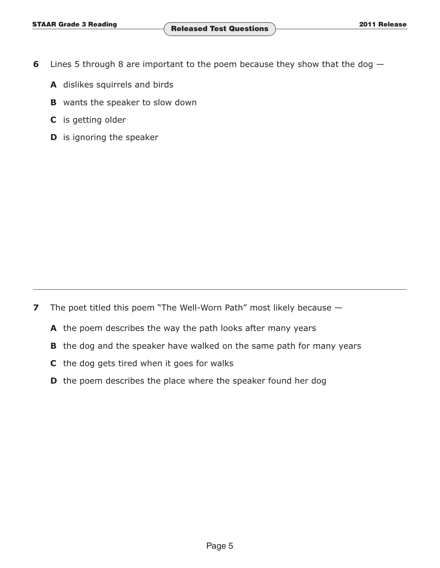- **6** Lines 5 through 8 are important to the poem because they show that the dog  $-$ 
	- **A** dislikes squirrels and birds
	- **B** wants the speaker to slow down
	- **C** is getting older
	- **D** is ignoring the speaker

**7** The poet titled this poem "The Well-Worn Path" most likely because —

- **A** the poem describes the way the path looks after many years
- **B** the dog and the speaker have walked on the same path for many years
- **C** the dog gets tired when it goes for walks
- **D** the poem describes the place where the speaker found her dog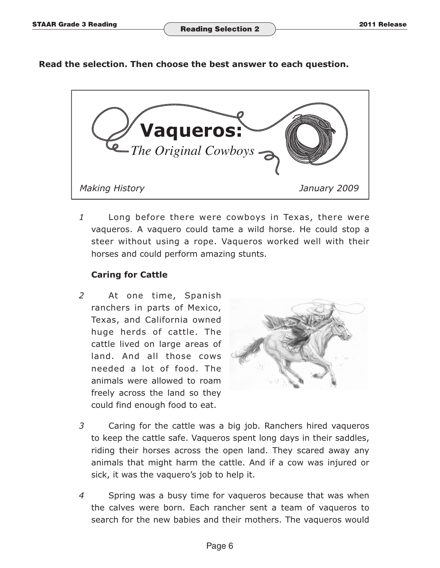#### **Read the selection. Then choose the best answer to each question.**



 *1* Long before there were cowboys in Texas, there were vaqueros. A vaquero could tame a wild horse. He could stop a steer without using a rope. Vaqueros worked well with their horses and could perform amazing stunts.

#### **Caring for Cattle**

 *2* At one time, Spanish ranchers in parts of Mexico, Texas, and California owned huge herds of cattle. The cattle lived on large areas of land. And all those cows needed a lot of food. The animals were allowed to roam freely across the land so they could find enough food to eat.



- *3* Caring for the cattle was a big job. Ranchers hired vaqueros to keep the cattle safe. Vaqueros spent long days in their saddles, riding their horses across the open land. They scared away any animals that might harm the cattle. And if a cow was injured or sick, it was the vaquero's job to help it.
- *4* Spring was a busy time for vaqueros because that was when the calves were born. Each rancher sent a team of vaqueros to search for the new babies and their mothers. The vaqueros would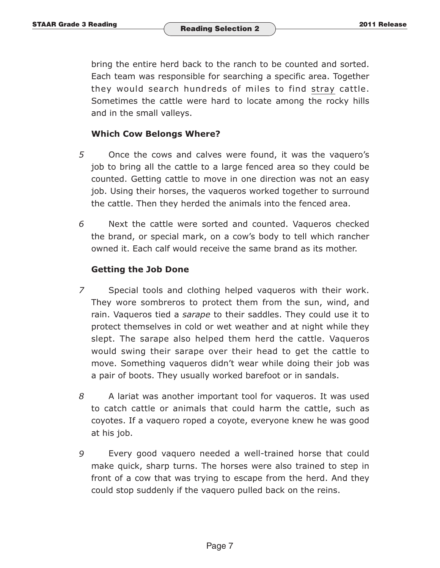bring the entire herd back to the ranch to be counted and sorted. Each team was responsible for searching a specific area. Together they would search hundreds of miles to find stray cattle. Sometimes the cattle were hard to locate among the rocky hills and in the small valleys.

#### **Which Cow Belongs Where?**

- *5* Once the cows and calves were found, it was the vaquero's job to bring all the cattle to a large fenced area so they could be counted. Getting cattle to move in one direction was not an easy job. Using their horses, the vaqueros worked together to surround the cattle. Then they herded the animals into the fenced area.
- *6* Next the cattle were sorted and counted. Vaqueros checked the brand, or special mark, on a cow's body to tell which rancher owned it. Each calf would receive the same brand as its mother.

#### **Getting the Job Done**

- *7* Special tools and clothing helped vaqueros with their work. They wore sombreros to protect them from the sun, wind, and rain. Vaqueros tied a *sarape* to their saddles. They could use it to protect themselves in cold or wet weather and at night while they slept. The sarape also helped them herd the cattle. Vaqueros would swing their sarape over their head to get the cattle to move. Something vaqueros didn't wear while doing their job was a pair of boots. They usually worked barefoot or in sandals.
- *8* A lariat was another important tool for vaqueros. It was used to catch cattle or animals that could harm the cattle, such as coyotes. If a vaquero roped a coyote, everyone knew he was good at his job.
- *9* Every good vaquero needed a well-trained horse that could make quick, sharp turns. The horses were also trained to step in front of a cow that was trying to escape from the herd. And they could stop suddenly if the vaquero pulled back on the reins.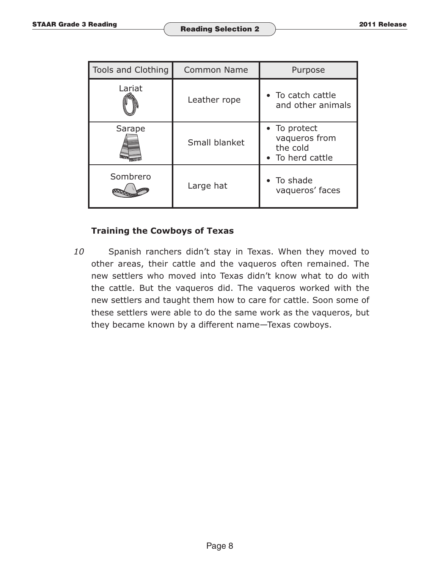| <b>Tools and Clothing</b> | <b>Common Name</b> | Purpose                                                       |  |
|---------------------------|--------------------|---------------------------------------------------------------|--|
| Lariat                    | Leather rope       | • To catch cattle<br>and other animals                        |  |
| Sarape                    | Small blanket      | • To protect<br>vaqueros from<br>the cold<br>• To herd cattle |  |
| Sombrero                  | Large hat          | • To shade<br>vaqueros' faces                                 |  |

#### **Training the Cowboys of Texas**

*10* Spanish ranchers didn't stay in Texas. When they moved to other areas, their cattle and the vaqueros often remained. The new settlers who moved into Texas didn't know what to do with the cattle. But the vaqueros did. The vaqueros worked with the new settlers and taught them how to care for cattle. Soon some of these settlers were able to do the same work as the vaqueros, but they became known by a different name—Texas cowboys.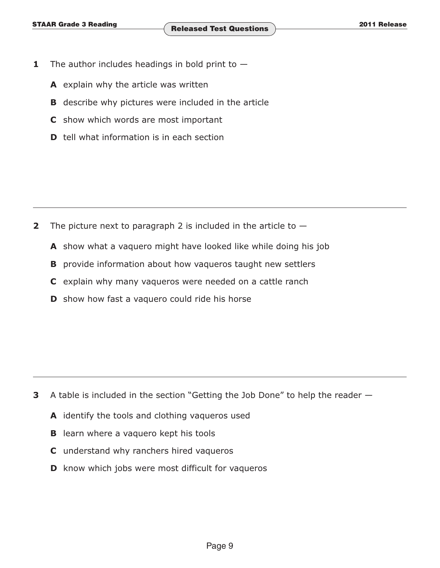- **1** The author includes headings in bold print to  $-$ 
	- **A** explain why the article was written
	- **B** describe why pictures were included in the article
	- **C** show which words are most important
	- **D** tell what information is in each section

- **2** The picture next to paragraph 2 is included in the article to  $-$ 
	- **A** show what a vaquero might have looked like while doing his job
	- **B** provide information about how vaqueros taught new settlers
	- **C** explain why many vaqueros were needed on a cattle ranch
	- **D** show how fast a vaquero could ride his horse

- **3** A table is included in the section "Getting the Job Done" to help the reader
	- **A** identify the tools and clothing vaqueros used
	- **B** learn where a vaquero kept his tools
	- **C** understand why ranchers hired vaqueros
	- **D** know which jobs were most difficult for vaqueros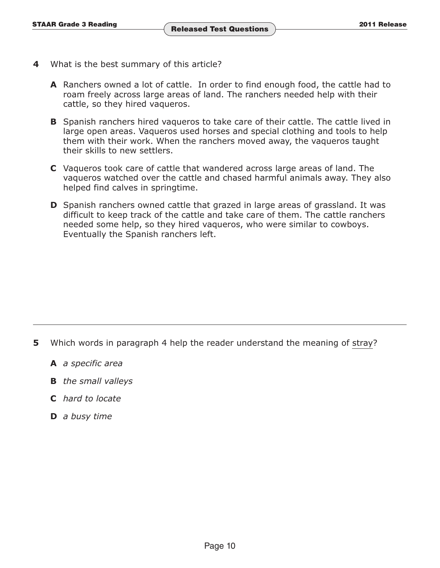- **4** What is the best summary of this article?
	- **A** Ranchers owned a lot of cattle. In order to find enough food, the cattle had to roam freely across large areas of land. The ranchers needed help with their cattle, so they hired vaqueros.
	- **B** Spanish ranchers hired vaqueros to take care of their cattle. The cattle lived in large open areas. Vaqueros used horses and special clothing and tools to help them with their work. When the ranchers moved away, the vaqueros taught their skills to new settlers.
	- **C** Vaqueros took care of cattle that wandered across large areas of land. The vaqueros watched over the cattle and chased harmful animals away. They also helped find calves in springtime.
	- **D** Spanish ranchers owned cattle that grazed in large areas of grassland. It was difficult to keep track of the cattle and take care of them. The cattle ranchers needed some help, so they hired vaqueros, who were similar to cowboys. Eventually the Spanish ranchers left.

- **5** Which words in paragraph 4 help the reader understand the meaning of stray?
	- **A** *a specific area*
	- **B** *the small valleys*
	- **C** *hard to locate*
	- **D** *a busy time*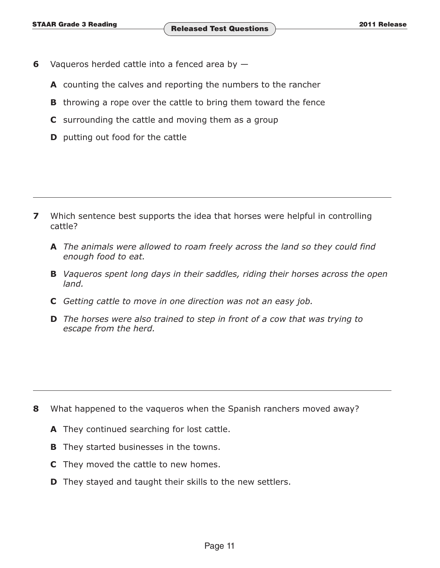- **6** Vaqueros herded cattle into a fenced area by
	- **A** counting the calves and reporting the numbers to the rancher
	- **B** throwing a rope over the cattle to bring them toward the fence
	- **C** surrounding the cattle and moving them as a group
	- **D** putting out food for the cattle

- **7** Which sentence best supports the idea that horses were helpful in controlling cattle?
	- **A** *The animals were allowed to roam freely across the land so they could find enough food to eat.*
	- **B** *Vaqueros spent long days in their saddles, riding their horses across the open land.*
	- **C** *Getting cattle to move in one direction was not an easy job.*
	- **D** *The horses were also trained to step in front of a cow that was trying to escape from the herd.*

- **8** What happened to the vaqueros when the Spanish ranchers moved away?
	- **A** They continued searching for lost cattle.
	- **B** They started businesses in the towns.
	- **C** They moved the cattle to new homes.
	- **D** They stayed and taught their skills to the new settlers.